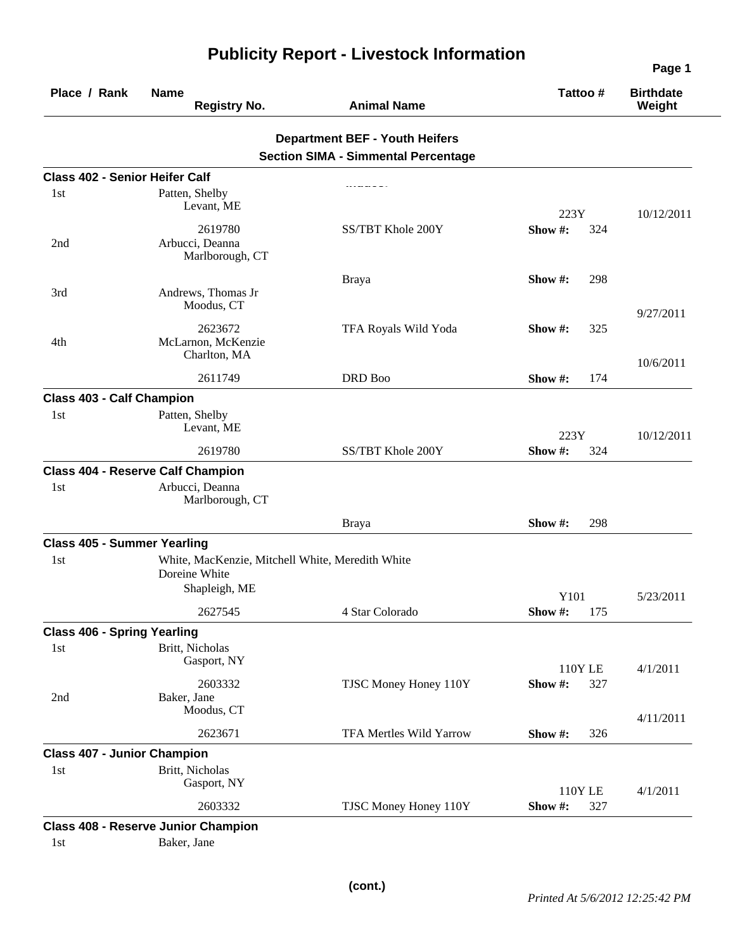| Place / Rank                          | <b>Name</b><br><b>Registry No.</b>               | <b>Animal Name</b>                         | Tattoo#                | <b>Birthdate</b><br>Weight |
|---------------------------------------|--------------------------------------------------|--------------------------------------------|------------------------|----------------------------|
|                                       |                                                  | <b>Department BEF - Youth Heifers</b>      |                        |                            |
|                                       |                                                  | <b>Section SIMA - Simmental Percentage</b> |                        |                            |
| <b>Class 402 - Senior Heifer Calf</b> |                                                  |                                            |                        |                            |
| 1st                                   | Patten, Shelby                                   |                                            |                        |                            |
|                                       | Levant, ME                                       |                                            | 223Y                   | 10/12/2011                 |
|                                       | 2619780                                          | SS/TBT Khole 200Y                          | Show#:<br>324          |                            |
| 2nd                                   | Arbucci, Deanna<br>Marlborough, CT               |                                            |                        |                            |
|                                       |                                                  | <b>Braya</b>                               | Show $\#$ :<br>298     |                            |
| 3rd                                   | Andrews, Thomas Jr<br>Moodus, CT                 |                                            |                        | 9/27/2011                  |
|                                       | 2623672                                          | TFA Royals Wild Yoda                       | Show #:<br>325         |                            |
| 4th                                   | McLarnon, McKenzie<br>Charlton, MA               |                                            |                        | 10/6/2011                  |
|                                       | 2611749                                          | DRD Boo                                    | 174<br>Show #:         |                            |
| <b>Class 403 - Calf Champion</b>      |                                                  |                                            |                        |                            |
| 1st                                   | Patten, Shelby<br>Levant, ME                     |                                            |                        |                            |
|                                       | 2619780                                          | SS/TBT Khole 200Y                          | 223Y<br>324<br>Show #: | 10/12/2011                 |
|                                       |                                                  |                                            |                        |                            |
|                                       | <b>Class 404 - Reserve Calf Champion</b>         |                                            |                        |                            |
| 1st                                   | Arbucci, Deanna<br>Marlborough, CT               |                                            |                        |                            |
|                                       |                                                  | <b>Braya</b>                               | 298<br>Show $\#$ :     |                            |
| <b>Class 405 - Summer Yearling</b>    |                                                  |                                            |                        |                            |
| 1st                                   | White, MacKenzie, Mitchell White, Meredith White |                                            |                        |                            |
|                                       | Doreine White                                    |                                            |                        |                            |
|                                       | Shapleigh, ME                                    |                                            | Y101                   | 5/23/2011                  |
|                                       | 2627545                                          | 4 Star Colorado                            | Show #:<br>175         |                            |
| <b>Class 406 - Spring Yearling</b>    |                                                  |                                            |                        |                            |
| 1st                                   | Britt, Nicholas                                  |                                            |                        |                            |
|                                       | Gasport, NY                                      |                                            | 110Y LE                | 4/1/2011                   |
|                                       | 2603332                                          | TJSC Money Honey 110Y                      | Show#:<br>327          |                            |
| 2nd                                   | Baker, Jane                                      |                                            |                        |                            |
|                                       | Moodus, CT                                       |                                            |                        | 4/11/2011                  |
|                                       | 2623671                                          | <b>TFA Mertles Wild Yarrow</b>             | Show #:<br>326         |                            |
| <b>Class 407 - Junior Champion</b>    |                                                  |                                            |                        |                            |
| 1st                                   | Britt, Nicholas                                  |                                            |                        |                            |
|                                       | Gasport, NY                                      |                                            | 110Y LE                | 4/1/2011                   |
|                                       | 2603332                                          | TJSC Money Honey 110Y                      | Show #:<br>327         |                            |
|                                       | <b>Class 408 - Reserve Junior Champion</b>       |                                            |                        |                            |
| 1st                                   | Baker, Jane                                      |                                            |                        |                            |

## **Publicity Report - Livestock Information**

**Page 1**